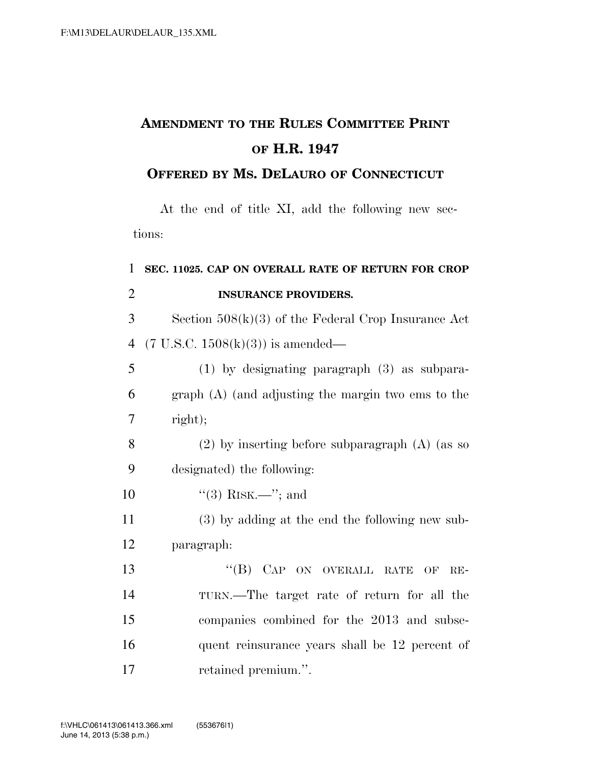## **AMENDMENT TO THE RULES COMMITTEE PRINT OF H.R. 1947**

## **OFFERED BY MS. DELAURO OF CONNECTICUT**

At the end of title XI, add the following new sections:

## 1 **SEC. 11025. CAP ON OVERALL RATE OF RETURN FOR CROP**  2 **INSURANCE PROVIDERS.**

3 Section 508(k)(3) of the Federal Crop Insurance Act 4 (7 U.S.C.  $1508(k)(3)$ ) is amended—

5 (1) by designating paragraph (3) as subpara-6 graph (A) (and adjusting the margin two ems to the 7 right);

- 8 (2) by inserting before subparagraph (A) (as so 9 designated) the following:
- 10  $(3)$  RISK.—"; and
- 11 (3) by adding at the end the following new sub-12 paragraph:
- 13 "(B) CAP ON OVERALL RATE OF RE-14 TURN.—The target rate of return for all the 15 companies combined for the 2013 and subse-16 quent reinsurance years shall be 12 percent of 17 retained premium.''.